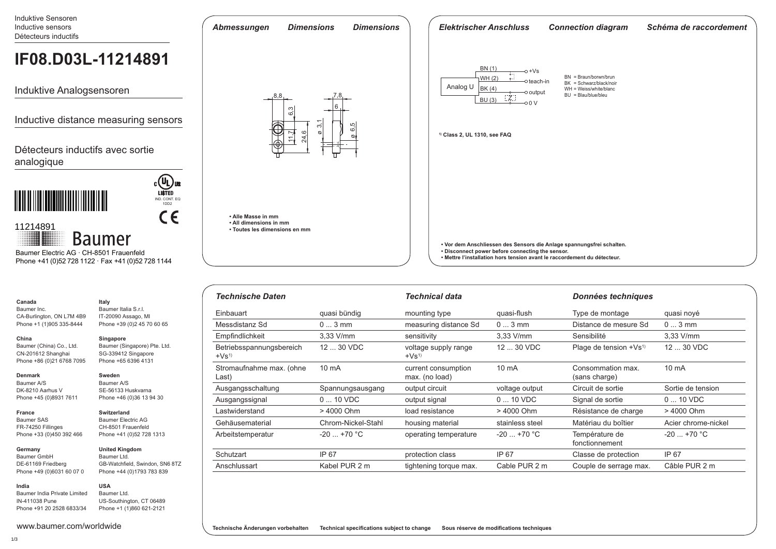Induktive Sensoren Inductive sensors Détecteurs inductifs

# **IF08.D03L-11214891**

Induktive Analogsensoren

Inductive distance measuring sensors

Détecteurs inductifs avec sortie analogique



## $C \in$ 11214891 **Baumer** Baumer Electric AG · CH-8501 Frauenfeld

Phone +41 (0)52 728 1122 · Fax +41 (0)52 728 1144

| Canada      |  |
|-------------|--|
| Baumer Inc. |  |

CA-Burlington, ON L7M 4 Phone +1 (1)905 335-8444

## **China**

Baumer (China) Co., Ltd. CN-201612 Shanghai Phone +86 (0)21 6768 7095

#### **Denmark**

**France**

**India**

Baumer A/S DK-8210 Aarhus V Phone +45 (0)8931 7611

#### **Switzerland**

Baumer SAS FR-74250 Fillinges Phone +33 (0)450 392 466

**Germany**  Baumer GmbH DE-61169 Friedberg Phone +49 (0)6031 60 07 0

Baumer India Private Limited IN-411038 Pune Phone +91 20 2528 6833/34

www.baumer.com/worldwide

|     | Italy                      |
|-----|----------------------------|
|     | Baumer Italia S.r.I.       |
| IB9 | IT-20090 Assago, MI        |
| 14  | Phone +39 (0)2 45 70 60 65 |
|     |                            |

**Singapore**

Baumer (Singapore) Pte. Ltd. SG-339412 Singapore Phone +65 6396 4131

#### **Sweden**

Baumer A/S SE-56133 Huskvarna Phone +46 (0)36 13 94 30

Baumer Electric AG CH-8501 Frauenfeld Phone +41 (0)52 728 1313

IND. CONT. EQ 1DD2

COL US

## **United Kingdom**

Baumer Ltd. GB-Watchfield, Swindon, SN6 8TZ Phone +44 (0)1793 783 839

## **USA**

Baumer Ltd. US-Southington, CT 06489 Phone +1 (1)860 621-2121



| <b>Technische Daten</b>            |                    | <b>Technical data</b>                 |                                          | Données techniques                 |                     |  |
|------------------------------------|--------------------|---------------------------------------|------------------------------------------|------------------------------------|---------------------|--|
| Einbauart                          | quasi bündig       | mounting type                         | Type de montage<br>quasi-flush           |                                    | quasi noyé          |  |
| Messdistanz Sd                     | $03$ mm            | measuring distance Sd                 | $03$ mm                                  | Distance de mesure Sd              | $03$ mm             |  |
| Empfindlichkeit                    | $3.33$ V/mm        | sensitivity                           | 3.33 V/mm                                | Sensibilité                        | $3.33$ V/mm         |  |
| Betriebsspannungsbereich<br>$+Vs1$ | 12  30 VDC         | voltage supply range<br>$+Vs1$        | $1230$ VDC<br>Plage de tension $+Vs^{1}$ |                                    | $1230$ VDC          |  |
| Stromaufnahme max. (ohne<br>Last)  | $10 \text{ mA}$    | current consumption<br>max. (no load) | $10 \text{ mA}$                          | Consommation max.<br>(sans charge) | $10 \text{ mA}$     |  |
| Ausgangsschaltung                  | Spannungsausgang   | output circuit                        | voltage output                           | Circuit de sortie                  | Sortie de tension   |  |
| Ausgangssignal                     | $010$ VDC          | output signal                         | $010$ VDC                                | Signal de sortie                   | $010$ VDC           |  |
| Lastwiderstand                     | > 4000 Ohm         | load resistance                       | > 4000 Ohm                               | Résistance de charge               | > 4000 Ohm          |  |
| Gehäusematerial                    | Chrom-Nickel-Stahl | housing material                      | stainless steel                          | Matériau du boîtier                | Acier chrome-nickel |  |
| Arbeitstemperatur                  | $-20$ +70 °C       | operating temperature                 | $-20$ +70 °C                             | Température de<br>fonctionnement   | $-20$ +70 °C        |  |
| Schutzart                          | IP 67              | protection class                      | IP 67                                    | Classe de protection               | IP 67               |  |
| Anschlussart                       | Kabel PUR 2 m      | tightening torque max.                | Cable PUR 2 m                            | Couple de serrage max.             | Câble PUR 2 m       |  |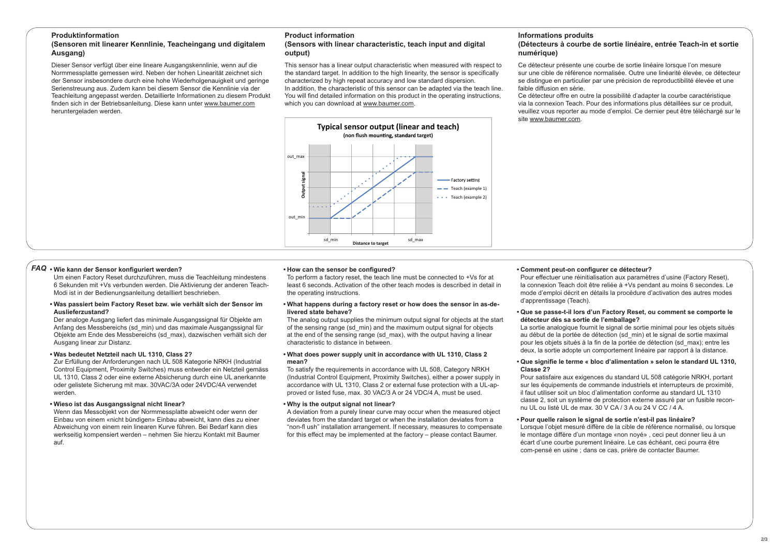#### **Produktinformation**

#### **(Sensoren mit linearer Kennlinie, Teacheingang und digitalem Ausgang)**

Dieser Sensor verfügt über eine lineare Ausgangskennlinie, wenn auf die Normmessplatte gemessen wird. Neben der hohen Linearität zeichnet sich der Sensor insbesondere durch eine hohe Wiederholgenauigkeit und geringe Serienstreuung aus. Zudem kann bei diesem Sensor die Kennlinie via der Teachleitung angepasst werden. Detaillierte Informationen zu diesem Produkt finden sich in der Betriebsanleitung. Diese kann unter www.baumer.com heruntergeladen werden.

## **Product information**

#### **(Sensors with linear characteristic, teach input and digital output)**

This sensor has a linear output characteristic when measured with respect to the standard target. In addition to the high linearity, the sensor is specifically characterized by high repeat accuracy and low standard dispersion. In addition, the characteristic of this sensor can be adapted via the teach line. You will find detailed information on this product in the operating instructions, which you can download at www.baumer.com.



#### **Informations produits**

#### **(Détecteurs à courbe de sortie linéaire, entrée Teach-in et sortie numérique)**

Ce détecteur présente une courbe de sortie linéaire lorsque l'on mesure sur une cible de référence normalisée. Outre une linéarité élevée, ce détecteur se distingue en particulier par une précision de reproductibilité élevée et une faible diffusion en série.

Ce détecteur offre en outre la possibilité d'adapter la courbe caractéristique via la connexion Teach. Pour des informations plus détaillées sur ce produit, veuillez vous reporter au mode d'emploi. Ce dernier peut être téléchargé sur le site www.baumer.com.

#### $\mathsf{FAQ}\cdot\mathsf{Wie}$  kann der Sensor konfiguriert werden?

Um einen Factory Reset durchzuführen, muss die Teachleitung mindestens 6 Sekunden mit +Vs verbunden werden. Die Aktivierung der anderen Teach-Modi ist in der Bedienungsanleitung detailliert beschrieben.

#### **• Was passiert beim Factory Reset bzw. wie verhält sich der Sensor im Auslieferzustand?**

Der analoge Ausgang liefert das minimale Ausgangssignal für Objekte am Anfang des Messbereichs (sd\_min) und das maximale Ausgangssignal für Objekte am Ende des Messbereichs (sd\_max), dazwischen verhält sich der Ausgang linear zur Distanz.

#### **• Was bedeutet Netzteil nach UL 1310, Class 2?**

Zur Erfüllung der Anforderungen nach UL 508 Kategorie NRKH (Industrial Control Equipment, Proximity Switches) muss entweder ein Netzteil gemäss UL 1310, Class 2 oder eine externe Absicherung durch eine UL anerkannte oder gelistete Sicherung mit max. 30VAC/3A oder 24VDC/4A verwendet werden.

#### **• Wieso ist das Ausgangssignal nicht linear?**

Wenn das Messobjekt von der Normmessplatte abweicht oder wenn der Einbau von einem «nicht bündigen» Einbau abweicht, kann dies zu einer Abweichung von einem rein linearen Kurve führen. Bei Bedarf kann dies werkseitig kompensiert werden – nehmen Sie hierzu Kontakt mit Baumer auf.

#### • How can the sensor be configured?

To perform a factory reset, the teach line must be connected to +Vs for at least 6 seconds. Activation of the other teach modes is described in detail in the operating instructions.

#### **• What happens during a factory reset or how does the sensor in as-delivered state behave?**

The analog output supplies the minimum output signal for objects at the start of the sensing range (sd\_min) and the maximum output signal for objects at the end of the sensing range (sd\_max), with the output having a linear characteristic to distance in between.

#### **• What does power supply unit in accordance with UL 1310, Class 2 mean?**

To satisfy the requirements in accordance with UL 508, Category NRKH (Industrial Control Equipment, Proximity Switches), either a power supply in accordance with UL 1310, Class 2 or external fuse protection with a UL-approved or listed fuse, max, 30 VAC/3 A or 24 VDC/4 A, must be used.

#### **• Why is the output signal not linear?**

A deviation from a purely linear curve may occur when the measured object deviates from the standard target or when the installation deviates from a "non-fl ush" installation arrangement. If necessary, measures to compensate for this effect may be implemented at the factory – please contact Baumer.

#### **• Comment peut-on configurer ce détecteur?**

Pour effectuer une réinitialisation aux paramètres d'usine (Factory Reset), la connexion Teach doit être reliée à +Vs pendant au moins 6 secondes. Le mode d'emploi décrit en détails la procédure d'activation des autres modes d'apprentissage (Teach).

#### **• Que se passe-t-il lors d'un Factory Reset, ou comment se comporte le détecteur dès sa sortie de l'emballage?**

La sortie analogique fournit le signal de sortie minimal pour les objets situés au début de la portée de détection (sd\_min) et le signal de sortie maximal pour les objets situés à la fin de la portée de détection (sd\_max); entre les deux, la sortie adopte un comportement linéaire par rapport à la distance.

#### • Que signifie le terme « bloc d'alimentation » selon le standard UL 1310, **Classe 2?**

Pour satisfaire aux exigences du standard UL 508 catégorie NRKH, portant sur les équipements de commande industriels et interrupteurs de proximité, il faut utiliser soit un bloc d'alimentation conforme au standard UL 1310 classe 2, soit un système de protection externe assuré par un fusible reconnu UL ou listé UL de max. 30 V CA / 3 A ou 24 V CC / 4 A.

#### **• Pour quelle raison le signal de sortie n'est-il pas linéaire?**

Lorsque l'objet mesuré diffère de la cible de référence normalisé, ou lorsque le montage diffère d'un montage «non noyé», ceci peut donner lieu à un écart d'une courbe purement linéaire. Le cas échéant, ceci pourra être com-pensé en usine ; dans ce cas, prière de contacter Baumer.